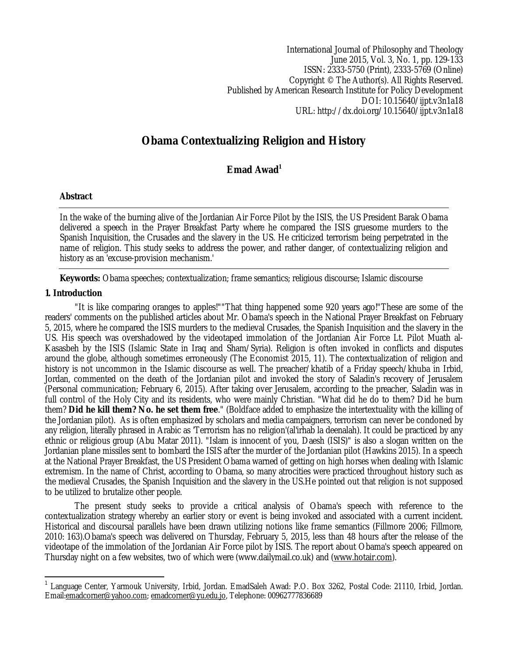International Journal of Philosophy and Theology June 2015, Vol. 3, No. 1, pp. 129-133 ISSN: 2333-5750 (Print), 2333-5769 (Online) Copyright © The Author(s). All Rights Reserved. Published by American Research Institute for Policy Development DOI: 10.15640/ijpt.v3n1a18 URL: http://dx.doi.org/10.15640/ijpt.v3n1a18

# **Obama Contextualizing Religion and History**

## **Emad Awad<sup>1</sup>**

## **Abstract**

In the wake of the burning alive of the Jordanian Air Force Pilot by the ISIS, the US President Barak Obama delivered a speech in the Prayer Breakfast Party where he compared the ISIS gruesome murders to the Spanish Inquisition, the Crusades and the slavery in the US. He criticized terrorism being perpetrated in the name of religion. This study seeks to address the power, and rather danger, of contextualizing religion and history as an 'excuse-provision mechanism.'

**Keywords:** Obama speeches; contextualization; frame semantics; religious discourse; Islamic discourse

## **1. Introduction**

"It is like comparing oranges to apples!""That thing happened some 920 years ago!"These are some of the readers' comments on the published articles about Mr. Obama's speech in the National Prayer Breakfast on February 5, 2015, where he compared the ISIS murders to the medieval Crusades, the Spanish Inquisition and the slavery in the US. His speech was overshadowed by the videotaped immolation of the Jordanian Air Force Lt. Pilot Muath al-Kasasbeh by the ISIS (Islamic State in Iraq and Sham/Syria). Religion is often invoked in conflicts and disputes around the globe, although sometimes erroneously (The Economist 2015, 11). The contextualization of religion and history is not uncommon in the Islamic discourse as well. The preacher/khatib of a Friday speech/khuba in Irbid, Jordan, commented on the death of the Jordanian pilot and invoked the story of Saladin's recovery of Jerusalem (Personal communication; February 6, 2015). After taking over Jerusalem, according to the preacher, Saladin was in full control of the Holy City and its residents, who were mainly Christian. "What did he do to them? Did he burn them? **Did he kill them? No. he set them free**." (Boldface added to emphasize the intertextuality with the killing of the Jordanian pilot). As is often emphasized by scholars and media campaigners, terrorism can never be condoned by any religion, literally phrased in Arabic as 'Terrorism has no religion'(al'irhab la deenalah). It could be practiced by any ethnic or religious group (Abu Matar 2011). "Islam is innocent of you, Daesh (ISIS)" is also a slogan written on the Jordanian plane missiles sent to bombard the ISIS after the murder of the Jordanian pilot (Hawkins 2015). In a speech at the National Prayer Breakfast, the US President Obama warned of getting on high horses when dealing with Islamic extremism. In the name of Christ, according to Obama, so many atrocities were practiced throughout history such as the medieval Crusades, the Spanish Inquisition and the slavery in the US.He pointed out that religion is not supposed to be utilized to brutalize other people.

The present study seeks to provide a critical analysis of Obama's speech with reference to the contextualization strategy whereby an earlier story or event is being invoked and associated with a current incident. Historical and discoursal parallels have been drawn utilizing notions like frame semantics (Fillmore 2006; Fillmore, 2010: 163).Obama's speech was delivered on Thursday, February 5, 2015, less than 48 hours after the release of the videotape of the immolation of the Jordanian Air Force pilot by ISIS. The report about Obama's speech appeared on Thursday night on a few websites, two of which were (www.dailymail.co.uk) and (www.hotair.com).

 $\overline{a}$ 1 Language Center, Yarmouk University, Irbid, Jordan. EmadSaleh Awad: P.O. Box 3262, Postal Code: 21110, Irbid, Jordan. Email:emadcorner@yahoo.com; emadcorner@yu.edu.jo, Telephone: 00962777836689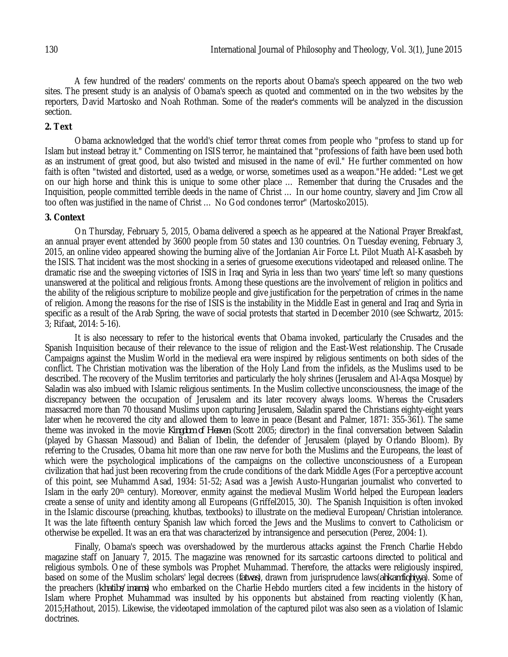A few hundred of the readers' comments on the reports about Obama's speech appeared on the two web sites. The present study is an analysis of Obama's speech as quoted and commented on in the two websites by the reporters, David Martosko and Noah Rothman. Some of the reader's comments will be analyzed in the discussion section.

#### **2. Text**

Obama acknowledged that the world's chief terror threat comes from people who "profess to stand up for Islam but instead betray it." Commenting on ISIS terror, he maintained that "professions of faith have been used both as an instrument of great good, but also twisted and misused in the name of evil." He further commented on how faith is often "twisted and distorted, used as a wedge, or worse, sometimes used as a weapon."He added: "Lest we get on our high horse and think this is unique to some other place … Remember that during the Crusades and the Inquisition, people committed terrible deeds in the name of Christ … In our home country, slavery and Jim Crow all too often was justified in the name of Christ … No God condones terror" (Martosko2015).

#### **3. Context**

On Thursday, February 5, 2015, Obama delivered a speech as he appeared at the National Prayer Breakfast, an annual prayer event attended by 3600 people from 50 states and 130 countries. On Tuesday evening, February 3, 2015, an online video appeared showing the burning alive of the Jordanian Air Force Lt. Pilot Muath Al-Kasasbeh by the ISIS. That incident was the most shocking in a series of gruesome executions videotaped and released online. The dramatic rise and the sweeping victories of ISIS in Iraq and Syria in less than two years' time left so many questions unanswered at the political and religious fronts. Among these questions are the involvement of religion in politics and the ability of the religious scripture to mobilize people and give justification for the perpetration of crimes in the name of religion. Among the reasons for the rise of ISIS is the instability in the Middle East in general and Iraq and Syria in specific as a result of the Arab Spring, the wave of social protests that started in December 2010 (see Schwartz, 2015: 3; Rifaat, 2014: 5-16).

It is also necessary to refer to the historical events that Obama invoked, particularly the Crusades and the Spanish Inquisition because of their relevance to the issue of religion and the East-West relationship. The Crusade Campaigns against the Muslim World in the medieval era were inspired by religious sentiments on both sides of the conflict. The Christian motivation was the liberation of the Holy Land from the infidels, as the Muslims used to be described. The recovery of the Muslim territories and particularly the holy shrines (Jerusalem and Al-Aqsa Mosque) by Saladin was also imbued with Islamic religious sentiments. In the Muslim collective unconsciousness, the image of the discrepancy between the occupation of Jerusalem and its later recovery always looms. Whereas the Crusaders massacred more than 70 thousand Muslims upon capturing Jerusalem, Saladin spared the Christians eighty-eight years later when he recovered the city and allowed them to leave in peace (Besant and Palmer, 1871: 355-361). The same theme was invoked in the movie *Kingdom of Heaven* (Scott 2005; director) in the final conversation between Saladin (played by Ghassan Massoud) and Balian of Ibelin, the defender of Jerusalem (played by Orlando Bloom). By referring to the Crusades, Obama hit more than one raw nerve for both the Muslims and the Europeans, the least of which were the psychological implications of the campaigns on the collective unconsciousness of a European civilization that had just been recovering from the crude conditions of the dark Middle Ages (For a perceptive account of this point, see Muhammd Asad, 1934: 51-52; Asad was a Jewish Austo-Hungarian journalist who converted to Islam in the early 20<sup>th</sup> century). Moreover, enmity against the medieval Muslim World helped the European leaders create a sense of unity and identity among all Europeans (Griffel2015, 30). The Spanish Inquisition is often invoked in the Islamic discourse (preaching, khutbas, textbooks) to illustrate on the medieval European/Christian intolerance. It was the late fifteenth century Spanish law which forced the Jews and the Muslims to convert to Catholicism or otherwise be expelled. It was an era that was characterized by intransigence and persecution (Perez, 2004: 1).

Finally, Obama's speech was overshadowed by the murderous attacks against the French Charlie Hebdo magazine staff on January 7, 2015. The magazine was renowned for its sarcastic cartoons directed to political and religious symbols. One of these symbols was Prophet Muhammad. Therefore, the attacks were religiously inspired, based on some of the Muslim scholars' legal decrees (*fatwas*), drawn from jurisprudence laws(*ahkamfiqhiyya*). Some of the preachers (*khatibs/imams*) who embarked on the Charlie Hebdo murders cited a few incidents in the history of Islam where Prophet Muhammad was insulted by his opponents but abstained from reacting violently (Khan, 2015;Hathout, 2015). Likewise, the videotaped immolation of the captured pilot was also seen as a violation of Islamic doctrines.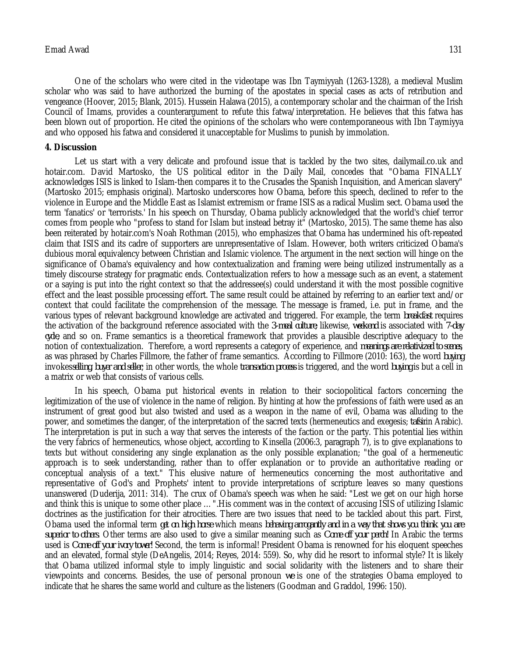One of the scholars who were cited in the videotape was Ibn Taymiyyah (1263-1328), a medieval Muslim scholar who was said to have authorized the burning of the apostates in special cases as acts of retribution and vengeance (Hoover, 2015; Blank, 2015). Hussein Halawa (2015), a contemporary scholar and the chairman of the Irish Council of Imams, provides a counterargument to refute this fatwa/interpretation. He believes that this fatwa has been blown out of proportion. He cited the opinions of the scholars who were contemporaneous with Ibn Taymiyya and who opposed his fatwa and considered it unacceptable for Muslims to punish by immolation.

#### **4. Discussion**

Let us start with a very delicate and profound issue that is tackled by the two sites, dailymail.co.uk and hotair.com. David Martosko, the US political editor in the Daily Mail, concedes that "Obama FINALLY acknowledges ISIS is linked to Islam-then compares it to the Crusades the Spanish Inquisition, and American slavery" (Martosko 2015; emphasis original). Martosko underscores how Obama, before this speech, declined to refer to the violence in Europe and the Middle East as Islamist extremism or frame ISIS as a radical Muslim sect. Obama used the term 'fanatics' or 'terrorists.' In his speech on Thursday, Obama publicly acknowledged that the world's chief terror comes from people who "profess to stand for Islam but instead betray it" (Martosko, 2015). The same theme has also been reiterated by hotair.com's Noah Rothman (2015), who emphasizes that Obama has undermined his oft-repeated claim that ISIS and its cadre of supporters are unrepresentative of Islam. However, both writers criticized Obama's dubious moral equivalency between Christian and Islamic violence. The argument in the next section will hinge on the significance of Obama's equivalency and how contextualization and framing were being utilized instrumentally as a timely discourse strategy for pragmatic ends. Contextualization refers to how a message such as an event, a statement or a saying is put into the right context so that the addressee(s) could understand it with the most possible cognitive effect and the least possible processing effort. The same result could be attained by referring to an earlier text and/or context that could facilitate the comprehension of the message. The message is framed, i.e. put in frame, and the various types of relevant background knowledge are activated and triggered. For example, the term *breakfast* requires the activation of the background reference associated with the *3-meal culture*; likewise, *weekend* is associated with *7-day cycle*, and so on. Frame semantics is a theoretical framework that provides a plausible descriptive adequacy to the notion of contextualization. Therefore, a word represents a category of experience, and *meanings are relativized to scenes*, as was phrased by Charles Fillmore, the father of frame semantics. According to Fillmore (2010: 163), the word *buying* invokes*selling, buyer and seller*; in other words, the whole *transaction process* is triggered, and the word *buying* is but a cell in a matrix or web that consists of various cells.

In his speech, Obama put historical events in relation to their sociopolitical factors concerning the legitimization of the use of violence in the name of religion. By hinting at how the professions of faith were used as an instrument of great good but also twisted and used as a weapon in the name of evil, Obama was alluding to the power, and sometimes the danger, of the interpretation of the sacred texts (hermeneutics and exegesis; *tafsir*in Arabic). The interpretation is put in such a way that serves the interests of the faction or the party. This potential lies within the very fabrics of hermeneutics, whose object, according to Kinsella (2006:3, paragraph 7), is to give explanations to texts but without considering any single explanation as the only possible explanation; "the goal of a hermeneutic approach is to seek understanding, rather than to offer explanation or to provide an authoritative reading or conceptual analysis of a text." This elusive nature of hermeneutics concerning the most authoritative and representative of God's and Prophets' intent to provide interpretations of scripture leaves so many questions unanswered (Duderija, 2011: 314). The crux of Obama's speech was when he said: "Lest we get on our high horse and think this is unique to some other place …".His comment was in the context of accusing ISIS of utilizing Islamic doctrines as the justification for their atrocities. There are two issues that need to be tackled about this part. First, Obama used the informal term *get on high horse* which means *behaving arrogantly and in a way that shows you think you are superior to others*. Other terms are also used to give a similar meaning such as *Come off your perch!* In Arabic the terms used is *Come off your ivory tower!* Second, the term is informal! President Obama is renowned for his eloquent speeches and an elevated, formal style (DeAngelis, 2014; Reyes, 2014: 559). So, why did he resort to informal style? It is likely that Obama utilized informal style to imply linguistic and social solidarity with the listeners and to share their viewpoints and concerns. Besides, the use of personal pronoun *we* is one of the strategies Obama employed to indicate that he shares the same world and culture as the listeners (Goodman and Graddol, 1996: 150).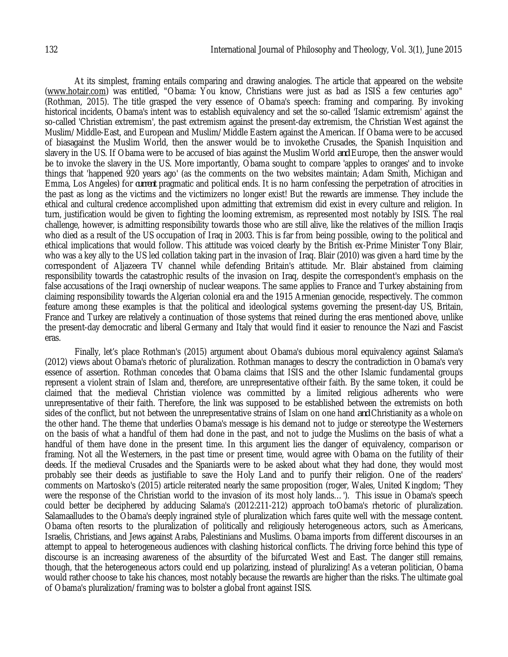At its simplest, framing entails comparing and drawing analogies. The article that appeared on the website (www.hotair.com) was entitled, "Obama: You know, Christians were just as bad as ISIS a few centuries ago" (Rothman, 2015). The title grasped the very essence of Obama's speech: framing and comparing. By invoking historical incidents, Obama's intent was to establish equivalency and set the so-called 'Islamic extremism' against the so-called 'Christian extremism', the past extremism against the present-day extremism, the Christian West against the Muslim/Middle-East, and European and Muslim/Middle Eastern against the American. If Obama were to be accused of biasagainst the Muslim World, then the answer would be to invokethe Crusades, the Spanish Inquisition and slavery in the US. If Obama were to be accused of bias against the Muslim World *and* Europe, then the answer would be to invoke the slavery in the US. More importantly, Obama sought to compare 'apples to oranges' and to invoke things that 'happened 920 years ago' (as the comments on the two websites maintain; Adam Smith, Michigan and Emma, Los Angeles) for *current* pragmatic and political ends. It is no harm confessing the perpetration of atrocities in the past as long as the victims and the victimizers no longer exist! But the rewards are immense. They include the ethical and cultural credence accomplished upon admitting that extremism did exist in every culture and religion. In turn, justification would be given to fighting the looming extremism, as represented most notably by ISIS. The real challenge, however, is admitting responsibility towards those who are still alive, like the relatives of the million Iraqis who died as a result of the US occupation of Iraq in 2003. This is far from being possible, owing to the political and ethical implications that would follow. This attitude was voiced clearly by the British ex-Prime Minister Tony Blair, who was a key ally to the US led collation taking part in the invasion of Iraq. Blair (2010) was given a hard time by the correspondent of Aljazeera TV channel while defending Britain's attitude. Mr. Blair abstained from claiming responsibility towards the catastrophic results of the invasion on Iraq, despite the correspondent's emphasis on the false accusations of the Iraqi ownership of nuclear weapons. The same applies to France and Turkey abstaining from claiming responsibility towards the Algerian colonial era and the 1915 Armenian genocide, respectively. The common feature among these examples is that the political and ideological systems governing the present-day US, Britain, France and Turkey are relatively a continuation of those systems that reined during the eras mentioned above, unlike the present-day democratic and liberal Germany and Italy that would find it easier to renounce the Nazi and Fascist eras.

Finally, let's place Rothman's (2015) argument about Obama's dubious moral equivalency against Salama's (2012) views about Obama's rhetoric of pluralization. Rothman manages to descry the contradiction in Obama's very essence of assertion. Rothman concedes that Obama claims that ISIS and the other Islamic fundamental groups represent a violent strain of Islam and, therefore, are unrepresentative oftheir faith. By the same token, it could be claimed that the medieval Christian violence was committed by a limited religious adherents who were unrepresentative of their faith. Therefore, the link was supposed to be established between the extremists on both sides of the conflict, but not between the unrepresentative strains of Islam on one hand *and* Christianity as a whole on the other hand. The theme that underlies Obama's message is his demand not to judge or stereotype the Westerners on the basis of what a handful of them had done in the past, and not to judge the Muslims on the basis of what a handful of them have done in the present time. In this argument lies the danger of equivalency, comparison or framing. Not all the Westerners, in the past time or present time, would agree with Obama on the futility of their deeds. If the medieval Crusades and the Spaniards were to be asked about what they had done, they would most probably see their deeds as justifiable to save the Holy Land and to purify their religion. One of the readers' comments on Martosko's (2015) article reiterated nearly the same proposition (roger, Wales, United Kingdom; 'They were the response of the Christian world to the invasion of its most holy lands…'). This issue in Obama's speech could better be deciphered by adducing Salama's (2012:211-212) approach toObama's rhetoric of pluralization. Salamaalludes to the Obama's deeply ingrained style of pluralization which fares quite well with the message content. Obama often resorts to the pluralization of politically and religiously heterogeneous actors, such as Americans, Israelis, Christians, and Jews against Arabs, Palestinians and Muslims. Obama imports from different discourses in an attempt to appeal to heterogeneous audiences with clashing historical conflicts. The driving force behind this type of discourse is an increasing awareness of the absurdity of the bifurcated West and East. The danger still remains, though, that the heterogeneous actors could end up polarizing, instead of pluralizing! As a veteran politician, Obama would rather choose to take his chances, most notably because the rewards are higher than the risks. The ultimate goal of Obama's pluralization/framing was to bolster a global front against ISIS.